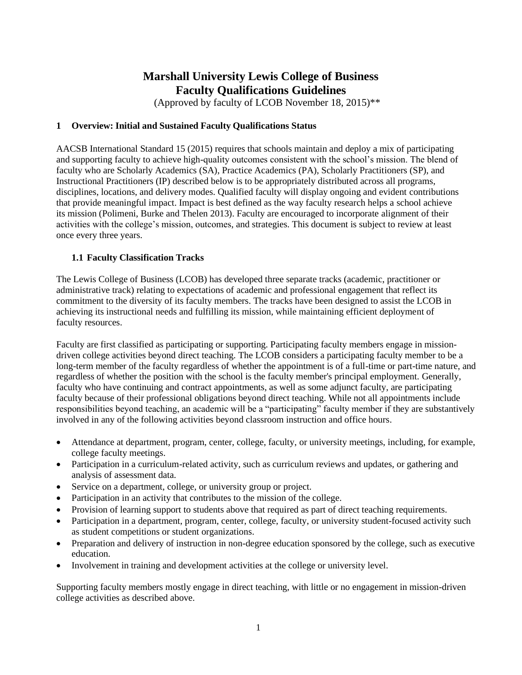## **Marshall University Lewis College of Business Faculty Qualifications Guidelines**

(Approved by faculty of LCOB November 18, 2015)\*\*

#### **1 Overview: Initial and Sustained Faculty Qualifications Status**

AACSB International Standard 15 (2015) requires that schools maintain and deploy a mix of participating and supporting faculty to achieve high-quality outcomes consistent with the school's mission. The blend of faculty who are Scholarly Academics (SA), Practice Academics (PA), Scholarly Practitioners (SP), and Instructional Practitioners (IP) described below is to be appropriately distributed across all programs, disciplines, locations, and delivery modes. Qualified faculty will display ongoing and evident contributions that provide meaningful impact. Impact is best defined as the way faculty research helps a school achieve its mission (Polimeni, Burke and Thelen 2013). Faculty are encouraged to incorporate alignment of their activities with the college's mission, outcomes, and strategies. This document is subject to review at least once every three years.

#### **1.1 Faculty Classification Tracks**

The Lewis College of Business (LCOB) has developed three separate tracks (academic, practitioner or administrative track) relating to expectations of academic and professional engagement that reflect its commitment to the diversity of its faculty members. The tracks have been designed to assist the LCOB in achieving its instructional needs and fulfilling its mission, while maintaining efficient deployment of faculty resources.

Faculty are first classified as participating or supporting. Participating faculty members engage in missiondriven college activities beyond direct teaching. The LCOB considers a participating faculty member to be a long-term member of the faculty regardless of whether the appointment is of a full-time or part-time nature, and regardless of whether the position with the school is the faculty member's principal employment. Generally, faculty who have continuing and contract appointments, as well as some adjunct faculty, are participating faculty because of their professional obligations beyond direct teaching. While not all appointments include responsibilities beyond teaching, an academic will be a "participating" faculty member if they are substantively involved in any of the following activities beyond classroom instruction and office hours.

- Attendance at department, program, center, college, faculty, or university meetings, including, for example, college faculty meetings.
- Participation in a curriculum-related activity, such as curriculum reviews and updates, or gathering and analysis of assessment data.
- Service on a department, college, or university group or project.
- Participation in an activity that contributes to the mission of the college.
- Provision of learning support to students above that required as part of direct teaching requirements.
- Participation in a department, program, center, college, faculty, or university student-focused activity such as student competitions or student organizations.
- Preparation and delivery of instruction in non-degree education sponsored by the college, such as executive education.
- Involvement in training and development activities at the college or university level.

Supporting faculty members mostly engage in direct teaching, with little or no engagement in mission-driven college activities as described above.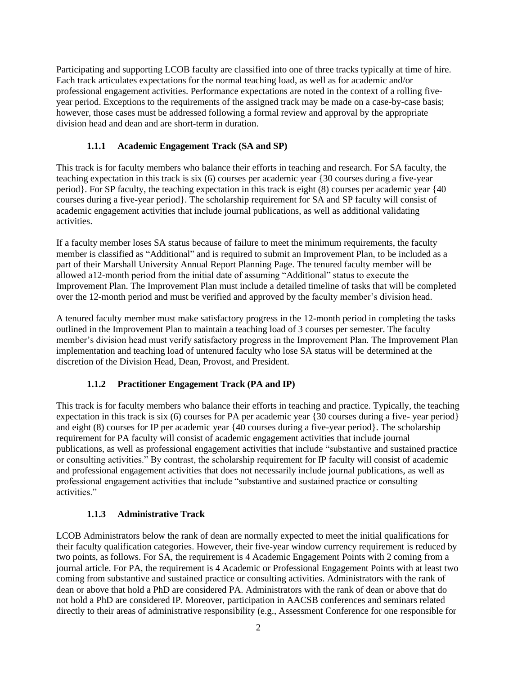Participating and supporting LCOB faculty are classified into one of three tracks typically at time of hire. Each track articulates expectations for the normal teaching load, as well as for academic and/or professional engagement activities. Performance expectations are noted in the context of a rolling fiveyear period. Exceptions to the requirements of the assigned track may be made on a case-by-case basis; however, those cases must be addressed following a formal review and approval by the appropriate division head and dean and are short-term in duration.

#### **1.1.1 Academic Engagement Track (SA and SP)**

This track is for faculty members who balance their efforts in teaching and research. For SA faculty, the teaching expectation in this track is six (6) courses per academic year {30 courses during a five-year period}. For SP faculty, the teaching expectation in this track is eight (8) courses per academic year {40 courses during a five-year period}. The scholarship requirement for SA and SP faculty will consist of academic engagement activities that include journal publications, as well as additional validating activities.

If a faculty member loses SA status because of failure to meet the minimum requirements, the faculty member is classified as "Additional" and is required to submit an Improvement Plan, to be included as a part of their Marshall University Annual Report Planning Page. The tenured faculty member will be allowed a12-month period from the initial date of assuming "Additional" status to execute the Improvement Plan. The Improvement Plan must include a detailed timeline of tasks that will be completed over the 12-month period and must be verified and approved by the faculty member's division head.

A tenured faculty member must make satisfactory progress in the 12-month period in completing the tasks outlined in the Improvement Plan to maintain a teaching load of 3 courses per semester. The faculty member's division head must verify satisfactory progress in the Improvement Plan. The Improvement Plan implementation and teaching load of untenured faculty who lose SA status will be determined at the discretion of the Division Head, Dean, Provost, and President.

#### **1.1.2 Practitioner Engagement Track (PA and IP)**

This track is for faculty members who balance their efforts in teaching and practice. Typically, the teaching expectation in this track is six (6) courses for PA per academic year {30 courses during a five- year period} and eight (8) courses for IP per academic year {40 courses during a five-year period}. The scholarship requirement for PA faculty will consist of academic engagement activities that include journal publications, as well as professional engagement activities that include "substantive and sustained practice or consulting activities." By contrast, the scholarship requirement for IP faculty will consist of academic and professional engagement activities that does not necessarily include journal publications, as well as professional engagement activities that include "substantive and sustained practice or consulting activities."

#### **1.1.3 Administrative Track**

LCOB Administrators below the rank of dean are normally expected to meet the initial qualifications for their faculty qualification categories. However, their five-year window currency requirement is reduced by two points, as follows. For SA, the requirement is 4 Academic Engagement Points with 2 coming from a journal article. For PA, the requirement is 4 Academic or Professional Engagement Points with at least two coming from substantive and sustained practice or consulting activities. Administrators with the rank of dean or above that hold a PhD are considered PA. Administrators with the rank of dean or above that do not hold a PhD are considered IP. Moreover, participation in AACSB conferences and seminars related directly to their areas of administrative responsibility (e.g., Assessment Conference for one responsible for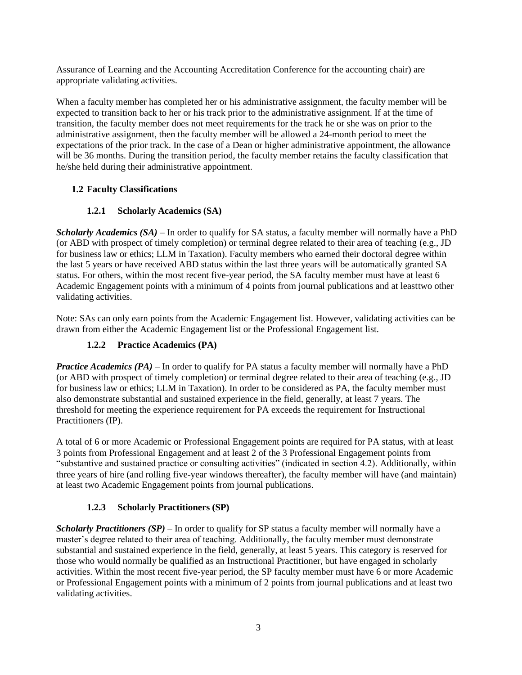Assurance of Learning and the Accounting Accreditation Conference for the accounting chair) are appropriate validating activities.

When a faculty member has completed her or his administrative assignment, the faculty member will be expected to transition back to her or his track prior to the administrative assignment. If at the time of transition, the faculty member does not meet requirements for the track he or she was on prior to the administrative assignment, then the faculty member will be allowed a 24-month period to meet the expectations of the prior track. In the case of a Dean or higher administrative appointment, the allowance will be 36 months. During the transition period, the faculty member retains the faculty classification that he/she held during their administrative appointment.

#### **1.2 Faculty Classifications**

#### **1.2.1 Scholarly Academics (SA)**

*Scholarly Academics (SA)* – In order to qualify for SA status, a faculty member will normally have a PhD (or ABD with prospect of timely completion) or terminal degree related to their area of teaching (e.g., JD for business law or ethics; LLM in Taxation). Faculty members who earned their doctoral degree within the last 5 years or have received ABD status within the last three years will be automatically granted SA status. For others, within the most recent five-year period, the SA faculty member must have at least 6 Academic Engagement points with a minimum of 4 points from journal publications and at leasttwo other validating activities.

Note: SAs can only earn points from the Academic Engagement list. However, validating activities can be drawn from either the Academic Engagement list or the Professional Engagement list.

#### **1.2.2 Practice Academics (PA)**

*Practice Academics (PA)* – In order to qualify for PA status a faculty member will normally have a PhD (or ABD with prospect of timely completion) or terminal degree related to their area of teaching (e.g., JD for business law or ethics; LLM in Taxation). In order to be considered as PA, the faculty member must also demonstrate substantial and sustained experience in the field, generally, at least 7 years. The threshold for meeting the experience requirement for PA exceeds the requirement for Instructional Practitioners (IP).

A total of 6 or more Academic or Professional Engagement points are required for PA status, with at least 3 points from Professional Engagement and at least 2 of the 3 Professional Engagement points from "substantive and sustained practice or consulting activities" (indicated in section 4.2). Additionally, within three years of hire (and rolling five-year windows thereafter), the faculty member will have (and maintain) at least two Academic Engagement points from journal publications.

#### **1.2.3 Scholarly Practitioners (SP)**

*Scholarly Practitioners (SP)* – In order to qualify for SP status a faculty member will normally have a master's degree related to their area of teaching. Additionally, the faculty member must demonstrate substantial and sustained experience in the field, generally, at least 5 years. This category is reserved for those who would normally be qualified as an Instructional Practitioner, but have engaged in scholarly activities. Within the most recent five-year period, the SP faculty member must have 6 or more Academic or Professional Engagement points with a minimum of 2 points from journal publications and at least two validating activities.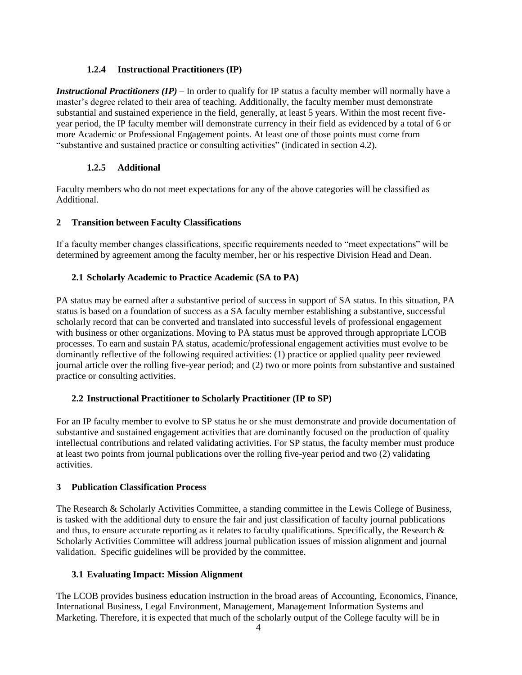#### **1.2.4 Instructional Practitioners (IP)**

*Instructional Practitioners (IP)* – In order to qualify for IP status a faculty member will normally have a master's degree related to their area of teaching. Additionally, the faculty member must demonstrate substantial and sustained experience in the field, generally, at least 5 years. Within the most recent fiveyear period, the IP faculty member will demonstrate currency in their field as evidenced by a total of 6 or more Academic or Professional Engagement points. At least one of those points must come from "substantive and sustained practice or consulting activities" (indicated in section 4.2).

#### **1.2.5 Additional**

Faculty members who do not meet expectations for any of the above categories will be classified as Additional.

#### **2 Transition between Faculty Classifications**

If a faculty member changes classifications, specific requirements needed to "meet expectations" will be determined by agreement among the faculty member, her or his respective Division Head and Dean.

#### **2.1 Scholarly Academic to Practice Academic (SA to PA)**

PA status may be earned after a substantive period of success in support of SA status. In this situation, PA status is based on a foundation of success as a SA faculty member establishing a substantive, successful scholarly record that can be converted and translated into successful levels of professional engagement with business or other organizations. Moving to PA status must be approved through appropriate LCOB processes. To earn and sustain PA status, academic/professional engagement activities must evolve to be dominantly reflective of the following required activities: (1) practice or applied quality peer reviewed journal article over the rolling five-year period; and (2) two or more points from substantive and sustained practice or consulting activities.

#### **2.2 Instructional Practitioner to Scholarly Practitioner (IP to SP)**

For an IP faculty member to evolve to SP status he or she must demonstrate and provide documentation of substantive and sustained engagement activities that are dominantly focused on the production of quality intellectual contributions and related validating activities. For SP status, the faculty member must produce at least two points from journal publications over the rolling five-year period and two (2) validating activities.

#### **3 Publication Classification Process**

The Research & Scholarly Activities Committee, a standing committee in the Lewis College of Business, is tasked with the additional duty to ensure the fair and just classification of faculty journal publications and thus, to ensure accurate reporting as it relates to faculty qualifications. Specifically, the Research & Scholarly Activities Committee will address journal publication issues of mission alignment and journal validation. Specific guidelines will be provided by the committee.

#### **3.1 Evaluating Impact: Mission Alignment**

The LCOB provides business education instruction in the broad areas of Accounting, Economics, Finance, International Business, Legal Environment, Management, Management Information Systems and Marketing. Therefore, it is expected that much of the scholarly output of the College faculty will be in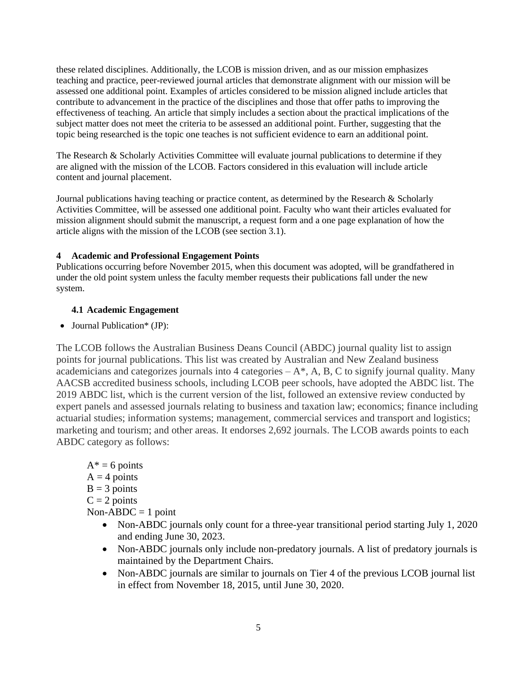these related disciplines. Additionally, the LCOB is mission driven, and as our mission emphasizes teaching and practice, peer-reviewed journal articles that demonstrate alignment with our mission will be assessed one additional point. Examples of articles considered to be mission aligned include articles that contribute to advancement in the practice of the disciplines and those that offer paths to improving the effectiveness of teaching. An article that simply includes a section about the practical implications of the subject matter does not meet the criteria to be assessed an additional point. Further, suggesting that the topic being researched is the topic one teaches is not sufficient evidence to earn an additional point.

The Research & Scholarly Activities Committee will evaluate journal publications to determine if they are aligned with the mission of the LCOB. Factors considered in this evaluation will include article content and journal placement.

Journal publications having teaching or practice content, as determined by the Research & Scholarly Activities Committee, will be assessed one additional point. Faculty who want their articles evaluated for mission alignment should submit the manuscript, a request form and a one page explanation of how the article aligns with the mission of the LCOB (see section 3.1).

#### **4 Academic and Professional Engagement Points**

Publications occurring before November 2015, when this document was adopted, will be grandfathered in under the old point system unless the faculty member requests their publications fall under the new system.

#### **4.1 Academic Engagement**

• Journal Publication\* (JP):

The LCOB follows the Australian Business Deans Council (ABDC) journal quality list to assign points for journal publications. This list was created by Australian and New Zealand business academicians and categorizes journals into 4 categories  $-A^*$ , A, B, C to signify journal quality. Many AACSB accredited business schools, including LCOB peer schools, have adopted the ABDC list. The 2019 ABDC list, which is the current version of the list, followed an extensive review conducted by expert panels and assessed journals relating to business and taxation law; economics; finance including actuarial studies; information systems; management, commercial services and transport and logistics; marketing and tourism; and other areas. It endorses 2,692 journals. The LCOB awards points to each ABDC category as follows:

- $A^* = 6$  points
- $A = 4$  points
- $B = 3$  points
- $C = 2$  points

 $Non-ABDC = 1$  point

- Non-ABDC journals only count for a three-year transitional period starting July 1, 2020 and ending June 30, 2023.
- Non-ABDC journals only include non-predatory journals. A list of predatory journals is maintained by the Department Chairs.
- Non-ABDC journals are similar to journals on Tier 4 of the previous LCOB journal list in effect from November 18, 2015, until June 30, 2020.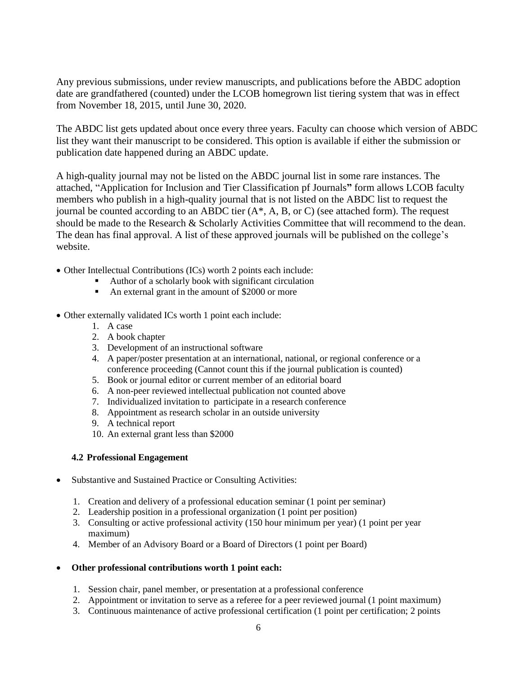Any previous submissions, under review manuscripts, and publications before the ABDC adoption date are grandfathered (counted) under the LCOB homegrown list tiering system that was in effect from November 18, 2015, until June 30, 2020.

The ABDC list gets updated about once every three years. Faculty can choose which version of ABDC list they want their manuscript to be considered. This option is available if either the submission or publication date happened during an ABDC update.

A high-quality journal may not be listed on the ABDC journal list in some rare instances. The attached, "Application for Inclusion and Tier Classification pf Journals**"** form allows LCOB faculty members who publish in a high-quality journal that is not listed on the ABDC list to request the journal be counted according to an ABDC tier (A\*, A, B, or C) (see attached form). The request should be made to the Research & Scholarly Activities Committee that will recommend to the dean. The dean has final approval. A list of these approved journals will be published on the college's website.

- Other Intellectual Contributions (ICs) worth 2 points each include:
	- Author of a scholarly book with significant circulation
	- An external grant in the amount of \$2000 or more
- Other externally validated ICs worth 1 point each include:
	- 1. A case
	- 2. A book chapter
	- 3. Development of an instructional software
	- 4. A paper/poster presentation at an international, national, or regional conference or a conference proceeding (Cannot count this if the journal publication is counted)
	- 5. Book or journal editor or current member of an editorial board
	- 6. A non-peer reviewed intellectual publication not counted above
	- 7. Individualized invitation to participate in a research conference
	- 8. Appointment as research scholar in an outside university
	- 9. A technical report
	- 10. An external grant less than \$2000

#### **4.2 Professional Engagement**

- Substantive and Sustained Practice or Consulting Activities:
	- 1. Creation and delivery of a professional education seminar (1 point per seminar)
	- 2. Leadership position in a professional organization (1 point per position)
	- 3. Consulting or active professional activity (150 hour minimum per year) (1 point per year maximum)
	- 4. Member of an Advisory Board or a Board of Directors (1 point per Board)
- **Other professional contributions worth 1 point each:**
	- 1. Session chair, panel member, or presentation at a professional conference
	- 2. Appointment or invitation to serve as a referee for a peer reviewed journal (1 point maximum)
	- 3. Continuous maintenance of active professional certification (1 point per certification; 2 points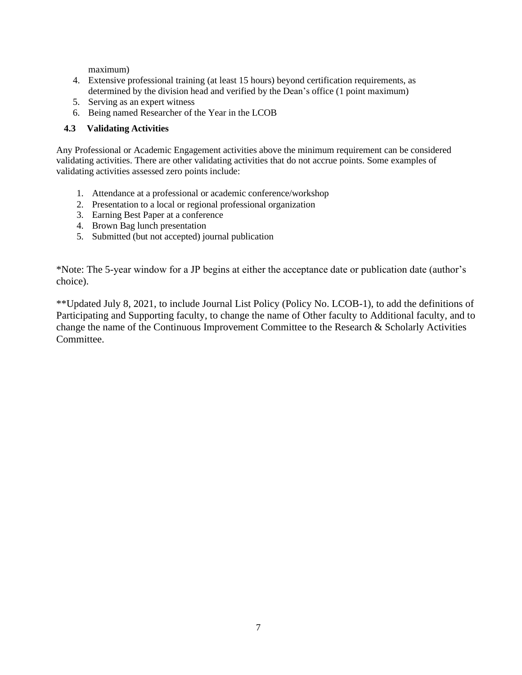maximum)

- 4. Extensive professional training (at least 15 hours) beyond certification requirements, as determined by the division head and verified by the Dean's office (1 point maximum)
- 5. Serving as an expert witness
- 6. Being named Researcher of the Year in the LCOB

#### **4.3 Validating Activities**

Any Professional or Academic Engagement activities above the minimum requirement can be considered validating activities. There are other validating activities that do not accrue points. Some examples of validating activities assessed zero points include:

- 1. Attendance at a professional or academic conference/workshop
- 2. Presentation to a local or regional professional organization
- 3. Earning Best Paper at a conference
- 4. Brown Bag lunch presentation
- 5. Submitted (but not accepted) journal publication

\*Note: The 5-year window for a JP begins at either the acceptance date or publication date (author's choice).

\*\*Updated July 8, 2021, to include Journal List Policy (Policy No. LCOB-1), to add the definitions of Participating and Supporting faculty, to change the name of Other faculty to Additional faculty, and to change the name of the Continuous Improvement Committee to the Research & Scholarly Activities Committee.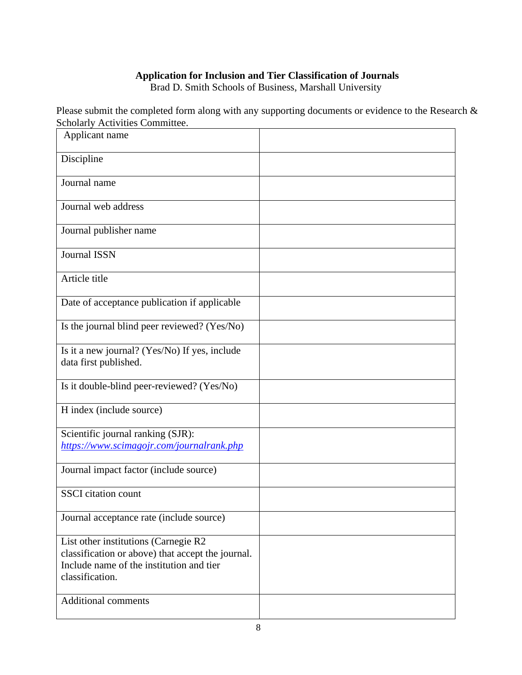### **Application for Inclusion and Tier Classification of Journals**

Brad D. Smith Schools of Business, Marshall University

Please submit the completed form along with any supporting documents or evidence to the Research  $\&$ Scholarly Activities Committee.

| Applicant name                                                                                                                                           |  |
|----------------------------------------------------------------------------------------------------------------------------------------------------------|--|
| Discipline                                                                                                                                               |  |
| Journal name                                                                                                                                             |  |
| Journal web address                                                                                                                                      |  |
| Journal publisher name                                                                                                                                   |  |
| <b>Journal ISSN</b>                                                                                                                                      |  |
| Article title                                                                                                                                            |  |
| Date of acceptance publication if applicable                                                                                                             |  |
| Is the journal blind peer reviewed? (Yes/No)                                                                                                             |  |
| Is it a new journal? (Yes/No) If yes, include<br>data first published.                                                                                   |  |
| Is it double-blind peer-reviewed? (Yes/No)                                                                                                               |  |
| H index (include source)                                                                                                                                 |  |
| Scientific journal ranking (SJR):<br>https://www.scimagojr.com/journalrank.php                                                                           |  |
| Journal impact factor (include source)                                                                                                                   |  |
| <b>SSCI</b> citation count                                                                                                                               |  |
| Journal acceptance rate (include source)                                                                                                                 |  |
| List other institutions (Carnegie R2<br>classification or above) that accept the journal.<br>Include name of the institution and tier<br>classification. |  |
| <b>Additional comments</b>                                                                                                                               |  |